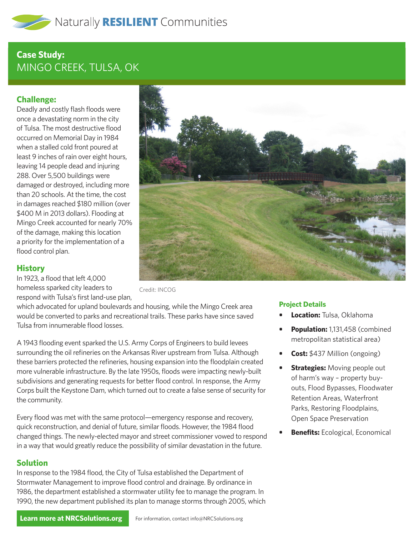# **Case Study:**  MINGO CREEK, TULSA, OK

## **Challenge:**

Deadly and costly flash floods were once a devastating norm in the city of Tulsa. The most destructive flood occurred on Memorial Day in 1984 when a stalled cold front poured at least 9 inches of rain over eight hours, leaving 14 people dead and injuring 288. Over 5,500 buildings were damaged or destroyed, including more than 20 schools. At the time, the cost in damages reached \$180 million (over \$400 M in 2013 dollars). Flooding at Mingo Creek accounted for nearly 70% of the damage, making this location a priority for the implementation of a flood control plan.



#### **History**

In 1923, a flood that left 4,000 homeless sparked city leaders to respond with Tulsa's first land-use plan,

Credit: INCOG

which advocated for upland boulevards and housing, while the Mingo Creek area would be converted to parks and recreational trails. These parks have since saved Tulsa from innumerable flood losses.

A 1943 flooding event sparked the U.S. Army Corps of Engineers to build levees surrounding the oil refineries on the Arkansas River upstream from Tulsa. Although these barriers protected the refineries, housing expansion into the floodplain created more vulnerable infrastructure. By the late 1950s, floods were impacting newly-built subdivisions and generating requests for better flood control. In response, the Army Corps built the Keystone Dam, which turned out to create a false sense of security for the community.

Every flood was met with the same protocol—emergency response and recovery, quick reconstruction, and denial of future, similar floods. However, the 1984 flood changed things. The newly-elected mayor and street commissioner vowed to respond in a way that would greatly reduce the possibility of similar devastation in the future.

### **Solution**

In response to the 1984 flood, the City of Tulsa established the Department of Stormwater Management to improve flood control and drainage. By ordinance in 1986, the department established a stormwater utility fee to manage the program. In 1990, the new department published its plan to manage storms through 2005, which

### **Project Details**

- **• Location:** Tulsa, Oklahoma
- **• Population:** 1,131,458 (combined metropolitan statistical area)
- **• Cost:** \$437 Million (ongoing)
- **Strategies:** Moving people out of harm's way – property buyouts, Flood Bypasses, Floodwater Retention Areas, Waterfront Parks, Restoring Floodplains, Open Space Preservation
- **• Benefits:** Ecological, Economical